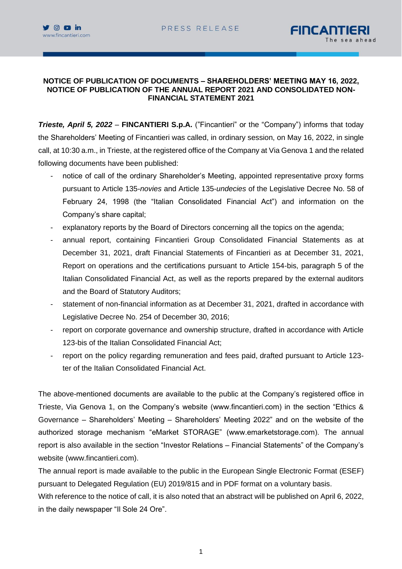

## **NOTICE OF PUBLICATION OF DOCUMENTS – SHAREHOLDERS' MEETING MAY 16, 2022, NOTICE OF PUBLICATION OF THE ANNUAL REPORT 2021 AND CONSOLIDATED NON-FINANCIAL STATEMENT 2021**

*Trieste, April 5, 2022* – **FINCANTIERI S.p.A.** ("Fincantieri" or the "Company") informs that today the Shareholders' Meeting of Fincantieri was called, in ordinary session, on May 16, 2022, in single call, at 10:30 a.m., in Trieste, at the registered office of the Company at Via Genova 1 and the related following documents have been published:

- notice of call of the ordinary Shareholder's Meeting, appointed representative proxy forms pursuant to Article 135-*novies* and Article 135-*undecies* of the Legislative Decree No. 58 of February 24, 1998 (the "Italian Consolidated Financial Act") and information on the Company's share capital;
- explanatory reports by the Board of Directors concerning all the topics on the agenda;
- annual report, containing Fincantieri Group Consolidated Financial Statements as at December 31, 2021, draft Financial Statements of Fincantieri as at December 31, 2021, Report on operations and the certifications pursuant to Article 154-bis, paragraph 5 of the Italian Consolidated Financial Act, as well as the reports prepared by the external auditors and the Board of Statutory Auditors;
- statement of non-financial information as at December 31, 2021, drafted in accordance with Legislative Decree No. 254 of December 30, 2016;
- report on corporate governance and ownership structure, drafted in accordance with Article 123-bis of the Italian Consolidated Financial Act;
- report on the policy regarding remuneration and fees paid, drafted pursuant to Article 123 ter of the Italian Consolidated Financial Act.

The above-mentioned documents are available to the public at the Company's registered office in Trieste, Via Genova 1, on the Company's website (www.fincantieri.com) in the section "Ethics & Governance – Shareholders' Meeting – Shareholders' Meeting 2022" and on the website of the authorized storage mechanism "eMarket STORAGE" (www.emarketstorage.com). The annual report is also available in the section "Investor Relations – Financial Statements" of the Company's website (www.fincantieri.com).

The annual report is made available to the public in the European Single Electronic Format (ESEF) pursuant to Delegated Regulation (EU) 2019/815 and in PDF format on a voluntary basis.

With reference to the notice of call, it is also noted that an abstract will be published on April 6, 2022, in the daily newspaper "Il Sole 24 Ore".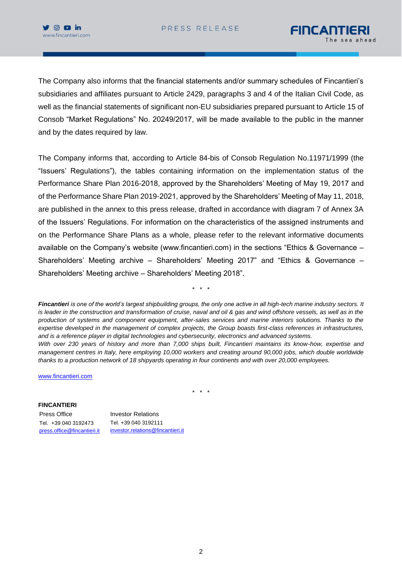

The Company also informs that the financial statements and/or summary schedules of Fincantieri's subsidiaries and affiliates pursuant to Article 2429, paragraphs 3 and 4 of the Italian Civil Code, as well as the financial statements of significant non-EU subsidiaries prepared pursuant to Article 15 of Consob "Market Regulations" No. 20249/2017, will be made available to the public in the manner and by the dates required by law.

The Company informs that, according to Article 84-bis of Consob Regulation No.11971/1999 (the "Issuers' Regulations"), the tables containing information on the implementation status of the Performance Share Plan 2016-2018, approved by the Shareholders' Meeting of May 19, 2017 and of the Performance Share Plan 2019-2021, approved by the Shareholders' Meeting of May 11, 2018, are published in the annex to this press release, drafted in accordance with diagram 7 of Annex 3A of the Issuers' Regulations. For information on the characteristics of the assigned instruments and on the Performance Share Plans as a whole, please refer to the relevant informative documents available on the Company's website (www.fincantieri.com) in the sections "Ethics & Governance – Shareholders' Meeting archive – Shareholders' Meeting 2017" and "Ethics & Governance – Shareholders' Meeting archive – Shareholders' Meeting 2018".

*Fincantieri is one of the world's largest shipbuilding groups, the only one active in all high-tech marine industry sectors. It is leader in the construction and transformation of cruise, naval and oil & gas and wind offshore vessels, as well as in the production of systems and component equipment, after-sales services and marine interiors solutions. Thanks to the expertise developed in the management of complex projects, the Group boasts first-class references in infrastructures, and is a reference player in digital technologies and cybersecurity, electronics and advanced systems. With over 230 years of history and more than 7,000 ships built, Fincantieri maintains its know-how, expertise and management centres in Italy, here employing 10,000 workers and creating around 90,000 jobs, which double worldwide thanks to a production network of 18 shipyards operating in four continents and with over 20,000 employees.*

\* \* \*

[www.fincantieri.com](http://www.fincantieri.com/)

\* \* \*

**FINCANTIERI** Press Office **Investor Relations** Tel. +39 040 3192473 Tel. +39 040 3192111

[press.office@fincantieri.it](mailto:press.office@fincantieri.it) investor.relations@fincantieri.it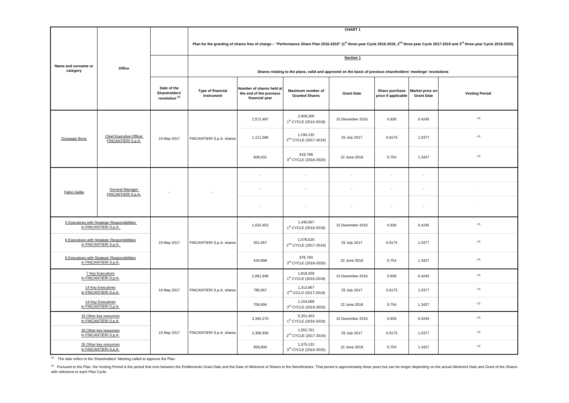(2) Pursuant to the Plan, the Vesting Period is the period that runs between the Entitlements Grant Date and the Date of Allotment of Shares to the Beneficiaries. That period is approximately three years but can be longer with reference to each Plan Cycle.

|                                                                       |                                                             |                                                           | <b>CHART1</b>                                                                                                                                                                                                               |                                                                       |                                                   |                          |                                       |                                      |                       |  |  |
|-----------------------------------------------------------------------|-------------------------------------------------------------|-----------------------------------------------------------|-----------------------------------------------------------------------------------------------------------------------------------------------------------------------------------------------------------------------------|-----------------------------------------------------------------------|---------------------------------------------------|--------------------------|---------------------------------------|--------------------------------------|-----------------------|--|--|
|                                                                       | Office                                                      |                                                           | Plan for the granting of shares free of charge - "Performance Share Plan 2016-2018" (1 <sup>st</sup> three-year Cycle 2016-2018, 2 <sup>nd</sup> three-year Cycle 2017-2019 and 3 <sup>rd</sup> three-year Cycle 2018-2020) |                                                                       |                                                   |                          |                                       |                                      |                       |  |  |
| Name and surname or<br>category                                       |                                                             |                                                           | Section 1                                                                                                                                                                                                                   |                                                                       |                                                   |                          |                                       |                                      |                       |  |  |
|                                                                       |                                                             |                                                           | Shares relating to the plans, valid and approved on the basis of previous shareholders' meetings' resolutions                                                                                                               |                                                                       |                                                   |                          |                                       |                                      |                       |  |  |
|                                                                       |                                                             | Date of the<br>Shareholders'<br>resolution <sup>(1)</sup> | <b>Type of financial</b><br>instrument                                                                                                                                                                                      | Number of shares held at<br>the end of the previous<br>financial year | <b>Maximum number of</b><br><b>Granted Shares</b> | <b>Grant Date</b>        | Share purchase<br>price if applicable | Market price on<br><b>Grant Date</b> | <b>Vesting Period</b> |  |  |
| Giuseppe Bono                                                         | <b>Chief Executive Officer</b><br><b>FINCANTIERI S.p.A.</b> | 19 May 2017                                               | FINCANTIERI S.p.A. shares                                                                                                                                                                                                   | 2,572,497                                                             | 2,909,305<br>1st CYCLE (2016-2018)                | 15 December 2016         | 0.928                                 | 0.4245                               | $- (2)$               |  |  |
|                                                                       |                                                             |                                                           |                                                                                                                                                                                                                             | 1,111,586                                                             | 1,190,132<br>2 <sup>nd</sup> CYCLE (2017-2019)    | 25 July 2017             | 0.6175                                | 1.0377                               | $- (2)$               |  |  |
|                                                                       |                                                             |                                                           |                                                                                                                                                                                                                             | 609,431                                                               | 919,788<br>3rd CYCLE (2018-2020)                  | 22 June 2018             | 0.754                                 | 1.3427                               | $-(2)$                |  |  |
| Fabio Gallia                                                          | <b>General Manager</b><br>FINCANTIERI S.p.A.                |                                                           |                                                                                                                                                                                                                             |                                                                       |                                                   |                          |                                       |                                      |                       |  |  |
|                                                                       |                                                             |                                                           |                                                                                                                                                                                                                             |                                                                       |                                                   | $\overline{\phantom{a}}$ | $\overline{\phantom{a}}$              | $\overline{\phantom{0}}$             |                       |  |  |
|                                                                       |                                                             |                                                           |                                                                                                                                                                                                                             |                                                                       |                                                   |                          | $\overline{\phantom{a}}$              |                                      |                       |  |  |
| 5 Executives with Strategic Responsibilities<br>in FINCANTIERI S.p.A. |                                                             | 19 May 2017                                               | FINCANTIERI S.p.A. shares                                                                                                                                                                                                   | 1,632,453                                                             | 1,340,007<br>1st CYCLE (2016-2018)                | 15 December 2016         | 0.928                                 | 0.4245                               | $- (2)$               |  |  |
| 8 Executives with Strategic Responsibilities<br>in FINCANTIERI S.p.A. |                                                             |                                                           |                                                                                                                                                                                                                             | 351,057                                                               | 1,078,520<br>2 <sup>nd</sup> CYCLE (2017-2019)    | 25 July 2017             | 0.6175                                | 1.0377                               | $- (2)$               |  |  |
| 8 Executives with Strategic Responsibilities<br>in FINCANTIERI S.p.A. |                                                             |                                                           |                                                                                                                                                                                                                             | 434,898                                                               | 978,784<br>3rd CYCLE (2018-2020)                  | 22 June 2018             | 0.754                                 | 1.3427                               | $- (2)$               |  |  |
| <b>7 Key Executives</b><br>in FINCANTIERI S.p.A.                      |                                                             | 19 May 2017                                               | FINCANTIERI S.p.A. shares                                                                                                                                                                                                   | 2,061,848                                                             | 1,818,359<br>1st CYCLE (2016-2018)                | 15 December 2016         | 0.928                                 | 0.4245                               | $- (2)$               |  |  |
| 14 Key Executives<br>in FINCANTIERI S.p.A.                            |                                                             |                                                           |                                                                                                                                                                                                                             | 785,057                                                               | 1,313,867<br>2 <sup>nd</sup> CICLO (2017-2019)    | 25 July 2017             | 0.6175                                | 1.0377                               | $- (2)$               |  |  |
| 14 Key Executives<br>in FINCANTIERI S.p.A.                            |                                                             |                                                           |                                                                                                                                                                                                                             | 706,694                                                               | 1,154,068<br>3rd CYCLE (2018-2020)                | 22 June 2018             | 0.754                                 | 1.3427                               | $- (2)$               |  |  |
| 33 Other key resources<br>in FINCANTIERI S.p.A.                       |                                                             | 19 May 2017                                               | FINCANTIERI S.p.A. shares                                                                                                                                                                                                   | 3,340,270                                                             | 5,201,453<br>1 <sup>st</sup> CYCLE (2016-2018)    | 15 December 2016         | 0.928                                 | 0.4245                               | $- (2)$               |  |  |
| 26 Other key resources<br>in FINCANTIERI S.p.A.                       |                                                             |                                                           |                                                                                                                                                                                                                             | 2,306,930                                                             | 1,552,761<br>2 <sup>nd</sup> CYCLE (2017-2019)    | 25 July 2017             | 0.6175                                | 1.0377                               | $- (2)$               |  |  |
| 26 Other key resources<br>in FINCANTIERI S.p.A.                       |                                                             |                                                           |                                                                                                                                                                                                                             | 859,800                                                               | 1,375,132<br>3rd CYCLE (2018-2020)                | 22 June 2018             | 0.754                                 | 1.3427                               | $- (2)$               |  |  |

 $\overline{1}$ <sup>(1)</sup> The date refers to the Shareholders' Meeting called to approve the Plan.